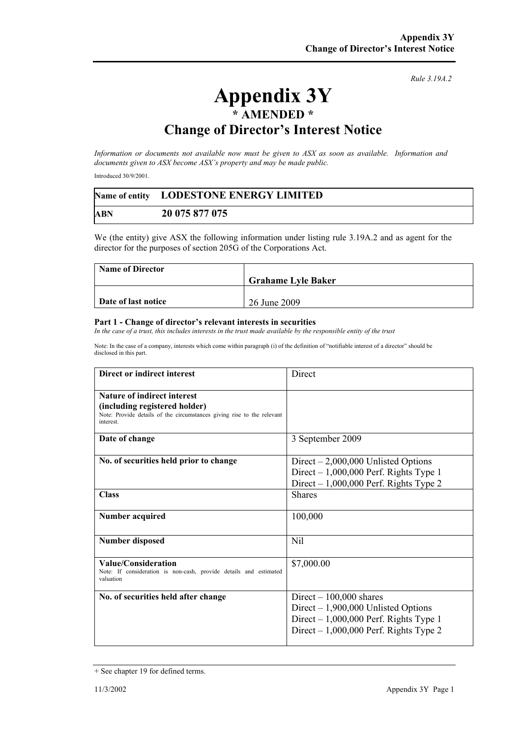## *Rule 3.19A.2*

## **Appendix 3Y \* AMENDED \* Change of Director's Interest Notice**

*Information or documents not available now must be given to ASX as soon as available. Information and documents given to ASX become ASX's property and may be made public.* 

Introduced 30/9/2001.

|            | Name of entity LODESTONE ENERGY LIMITED |
|------------|-----------------------------------------|
| <b>ABN</b> | 20 075 877 075                          |

We (the entity) give ASX the following information under listing rule 3.19A.2 and as agent for the director for the purposes of section 205G of the Corporations Act.

| <b>Name of Director</b> |                           |
|-------------------------|---------------------------|
|                         | <b>Grahame Lyle Baker</b> |
|                         |                           |
| Date of last notice     | 26 June 2009              |

## **Part 1 - Change of director's relevant interests in securities**

In the case of a trust, this includes interests in the trust made available by the responsible entity of the trust

Note: In the case of a company, interests which come within paragraph (i) of the definition of "notifiable interest of a director" should be disclosed in this part.

| Direct or indirect interest                                                                                                                                | Direct                                                                                                                                                 |
|------------------------------------------------------------------------------------------------------------------------------------------------------------|--------------------------------------------------------------------------------------------------------------------------------------------------------|
| <b>Nature of indirect interest</b><br>(including registered holder)<br>Note: Provide details of the circumstances giving rise to the relevant<br>interest. |                                                                                                                                                        |
| Date of change                                                                                                                                             | 3 September 2009                                                                                                                                       |
| No. of securities held prior to change                                                                                                                     | Direct $-2,000,000$ Unlisted Options<br>Direct $-1,000,000$ Perf. Rights Type 1<br>Direct $-1,000,000$ Perf. Rights Type 2                             |
| <b>Class</b>                                                                                                                                               | <b>Shares</b>                                                                                                                                          |
| Number acquired                                                                                                                                            | 100,000                                                                                                                                                |
| <b>Number disposed</b>                                                                                                                                     | Nil                                                                                                                                                    |
| Value/Consideration<br>Note: If consideration is non-cash, provide details and estimated<br>valuation                                                      | \$7,000.00                                                                                                                                             |
| No. of securities held after change                                                                                                                        | Direct $-100,000$ shares<br>Direct $-1,900,000$ Unlisted Options<br>Direct $-1,000,000$ Perf. Rights Type 1<br>Direct $-1,000,000$ Perf. Rights Type 2 |

<sup>+</sup> See chapter 19 for defined terms.